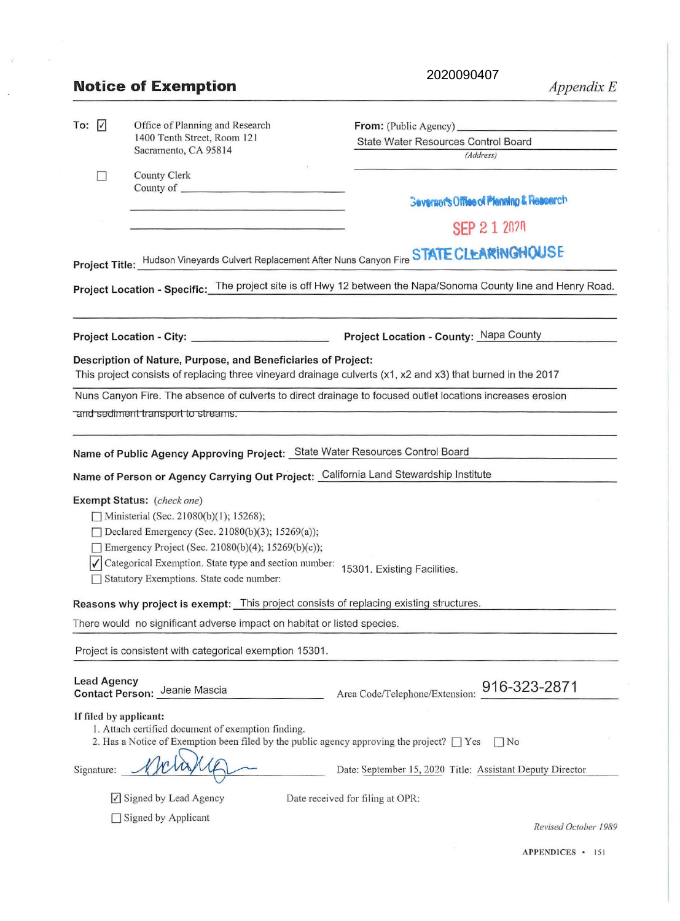|                                                                              | <b>Notice of Exemption</b>                                                                                                                                                                                                                                                                 | 2020090407<br>Appendix E                                                                                        |
|------------------------------------------------------------------------------|--------------------------------------------------------------------------------------------------------------------------------------------------------------------------------------------------------------------------------------------------------------------------------------------|-----------------------------------------------------------------------------------------------------------------|
| To: $ V $                                                                    | Office of Planning and Research<br>1400 Tenth Street, Room 121<br>Sacramento, CA 95814                                                                                                                                                                                                     | State Water Resources Control Board<br>(Address)                                                                |
|                                                                              | County Clerk                                                                                                                                                                                                                                                                               |                                                                                                                 |
|                                                                              |                                                                                                                                                                                                                                                                                            | <b>Severacr's Office of Planning &amp; Research</b>                                                             |
|                                                                              |                                                                                                                                                                                                                                                                                            | SEP 2 1 2020                                                                                                    |
|                                                                              |                                                                                                                                                                                                                                                                                            | Project Title: Hudson Vineyards Culvert Replacement After Nuns Canyon Fire STATE CLEARINGHOUSE                  |
|                                                                              |                                                                                                                                                                                                                                                                                            | Project Location - Specific: The project site is off Hwy 12 between the Napa/Sonoma County line and Henry Road. |
|                                                                              | Project Location - City: _____________________                                                                                                                                                                                                                                             | Project Location - County: Napa County                                                                          |
|                                                                              | Description of Nature, Purpose, and Beneficiaries of Project:                                                                                                                                                                                                                              | This project consists of replacing three vineyard drainage culverts (x1, x2 and x3) that burned in the 2017     |
|                                                                              |                                                                                                                                                                                                                                                                                            | Nuns Canyon Fire. The absence of culverts to direct drainage to focused outlet locations increases erosion      |
|                                                                              | and sediment transport to streams.                                                                                                                                                                                                                                                         |                                                                                                                 |
| Name of Public Agency Approving Project: State Water Resources Control Board |                                                                                                                                                                                                                                                                                            |                                                                                                                 |
|                                                                              | Name of Person or Agency Carrying Out Project: California Land Stewardship Institute                                                                                                                                                                                                       |                                                                                                                 |
|                                                                              | Exempt Status: (check one)<br>Ministerial (Sec. 21080(b)(1); 15268);<br>Declared Emergency (Sec. 21080(b)(3); 15269(a));<br>$\Box$ Emergency Project (Sec. 21080(b)(4); 15269(b)(c));<br>Categorical Exemption. State type and section number:<br>Statutory Exemptions. State code number: | 15301. Existing Facilities.                                                                                     |
|                                                                              | Reasons why project is exempt: This project consists of replacing existing structures.                                                                                                                                                                                                     |                                                                                                                 |
|                                                                              | There would no significant adverse impact on habitat or listed species.                                                                                                                                                                                                                    |                                                                                                                 |
|                                                                              | Project is consistent with categorical exemption 15301.                                                                                                                                                                                                                                    |                                                                                                                 |
| <b>Lead Agency</b>                                                           | Contact Person: Jeanie Mascia                                                                                                                                                                                                                                                              | 916-323-2871<br>Area Code/Telephone/Extension:                                                                  |
|                                                                              | If filed by applicant:<br>1. Attach certified document of exemption finding.<br>2. Has a Notice of Exemption been filed by the public agency approving the project? $\Box$ Yes                                                                                                             | $\Box$ No                                                                                                       |
| Signature:                                                                   |                                                                                                                                                                                                                                                                                            | Date: September 15, 2020 Title: Assistant Deputy Director                                                       |
|                                                                              | √ Signed by Lead Agency                                                                                                                                                                                                                                                                    | Date received for filing at OPR:                                                                                |
|                                                                              | Signed by Applicant                                                                                                                                                                                                                                                                        | Revised October 1989                                                                                            |

 $\mathcal{C}$ 

 $\ddot{\phantom{a}}$ 

 $\boldsymbol{\tau}$